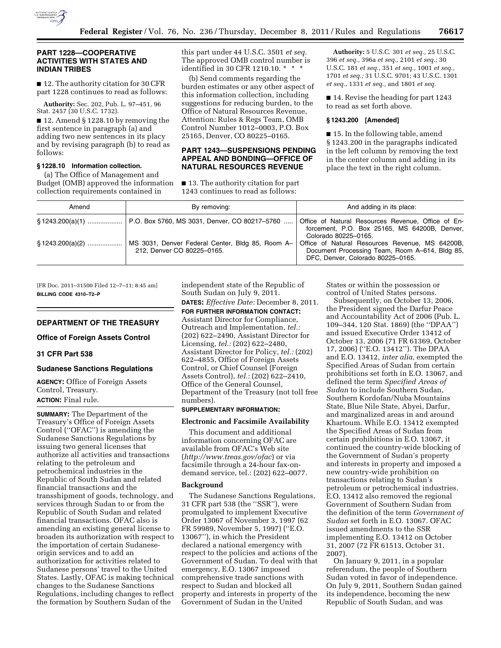

### **PART 1228—COOPERATIVE ACTIVITIES WITH STATES AND INDIAN TRIBES**

■ 12. The authority citation for 30 CFR part 1228 continues to read as follows:

**Authority:** Sec. 202, Pub. L. 97–451, 96 Stat. 2457 (30 U.S.C. 1732).

■ 12. Amend § 1228.10 by removing the first sentence in paragraph (a) and adding two new sentences in its placy and by revising paragraph (b) to read as follows:

## **§ 1228.10 Information collection.**

(a) The Office of Management and Budget (OMB) approved the information collection requirements contained in

this part under 44 U.S.C. 3501 *et seq.*  The approved OMB control number is identified in 30 CFR 1210.10. \* \* \*

(b) Send comments regarding the burden estimates or any other aspect of this information collection, including suggestions for reducing burden, to the Office of Natural Resources Revenue, Attention: Rules & Regs Team, OMB Control Number 1012–0003, P.O. Box 25165, Denver, CO 80225–0165.

## **PART 1243—SUSPENSIONS PENDING APPEAL AND BONDING—OFFICE OF NATURAL RESOURCES REVENUE**

■ 13. The authority citation for part 1243 continues to read as follows:

**Authority:** 5 U.S.C. 301 *et seq.,* 25 U.S.C. 396 *et seq.,* 396a *et seq.,* 2101 *et seq.;* 30 U.S.C. 181 *et seq.,* 351 *et seq.,* 1001 *et seq.,*  1701 *et seq.;* 31 U.S.C. 9701; 43 U.S.C. 1301 *et seq.,* 1331 *et seq.,* and 1801 *et seq.* 

■ 14. Revise the heading for part 1243 to read as set forth above.

### **§ 1243.200 [Amended]**

■ 15. In the following table, amend § 1243.200 in the paragraphs indicated in the left column by removing the text in the center column and adding in its place the text in the right column.

| Amend               | By removing:                                                                   | And adding in its place:                                                                                                               |
|---------------------|--------------------------------------------------------------------------------|----------------------------------------------------------------------------------------------------------------------------------------|
|                     | § 1243.200(a)(1)    P.O. Box 5760, MS 3031, Denver, CO 80217–5760              | Office of Natural Resources Revenue, Office of En-<br>forcement, P.O. Box 25165, MS 64200B, Denver,<br>Colorado 80225-0165.            |
| $\S$ 1243.200(a)(2) | MS 3031, Denver Federal Center, Bldg 85, Room A-<br>212, Denver CO 80225-0165. | Office of Natural Resources Revenue, MS 64200B,<br>Document Processing Team, Room A-614, Bldg 85,<br>DFC, Denver, Colorado 80225-0165. |

[FR Doc. 2011–31500 Filed 12–7–11; 8:45 am] **BILLING CODE 4310–T2–P** 

### **DEPARTMENT OF THE TREASURY**

**Office of Foreign Assets Control** 

### **31 CFR Part 538**

#### **Sudanese Sanctions Regulations**

**AGENCY:** Office of Foreign Assets Control, Treasury. **ACTION:** Final rule.

**SUMMARY:** The Department of the Treasury's Office of Foreign Assets Control (''OFAC'') is amending the Sudanese Sanctions Regulations by issuing two general licenses that authorize all activities and transactions relating to the petroleum and petrochemical industries in the Republic of South Sudan and related financial transactions and the transshipment of goods, technology, and services through Sudan to or from the Republic of South Sudan and related financial transactions. OFAC also is amending an existing general license to broaden its authorization with respect to the importation of certain Sudaneseorigin services and to add an authorization for activities related to Sudanese persons' travel to the United States. Lastly, OFAC is making technical changes to the Sudanese Sanctions Regulations, including changes to reflect the formation by Southern Sudan of the

independent state of the Republic of South Sudan on July 9, 2011. **DATES:** *Effective Date:* December 8, 2011. **FOR FURTHER INFORMATION CONTACT:**  Assistant Director for Compliance, Outreach and Implementation, *tel.:*  (202) 622–2490, Assistant Director for Licensing, *tel.:* (202) 622–2480, Assistant Director for Policy, *tel.:* (202) 622–4855, Office of Foreign Assets Control, or Chief Counsel (Foreign Assets Control), *tel.:* (202) 622–2410, Office of the General Counsel, Department of the Treasury (not toll free numbers).

## **SUPPLEMENTARY INFORMATION:**

## **Electronic and Facsimile Availability**

This document and additional information concerning OFAC are available from OFAC's Web site (*<http://www.treas.gov/ofac>*) or via facsimile through a 24-hour fax-ondemand service, tel.: (202) 622–0077.

#### **Background**

The Sudanese Sanctions Regulations, 31 CFR part 538 (the ''SSR''), were promulgated to implement Executive Order 13067 of November 3, 1997 (62 FR 59989, November 5, 1997) (''E.O. 13067''), in which the President declared a national emergency with respect to the policies and actions of the Government of Sudan. To deal with that emergency, E.O. 13067 imposed comprehensive trade sanctions with respect to Sudan and blocked all property and interests in property of the Government of Sudan in the United

States or within the possession or control of United States persons.

Subsequently, on October 13, 2006, the President signed the Darfur Peace and Accountability Act of 2006 (Pub. L. 109–344, 120 Stat. 1869) (the ''DPAA'') and issued Executive Order 13412 of October 13, 2006 (71 FR 61369, October 17, 2006) (''E.O. 13412''). The DPAA and E.O. 13412, *inter alia,* exempted the Specified Areas of Sudan from certain prohibitions set forth in E.O. 13067, and defined the term *Specified Areas of Sudan* to include Southern Sudan, Southern Kordofan/Nuba Mountains State, Blue Nile State, Abyei, Darfur, and marginalized areas in and around Khartoum. While E.O. 13412 exempted the Specified Areas of Sudan from certain prohibitions in E.O. 13067, it continued the country-wide blocking of the Government of Sudan's property and interests in property and imposed a new country-wide prohibition on transactions relating to Sudan's petroleum or petrochemical industries. E.O. 13412 also removed the regional Government of Southern Sudan from the definition of the term *Government of Sudan* set forth in E.O. 13067. OFAC issued amendments to the SSR implementing E.O. 13412 on October 31, 2007 (72 FR 61513, October 31, 2007).

On January 9, 2011, in a popular referendum, the people of Southern Sudan voted in favor of independence. On July 9, 2011, Southern Sudan gained its independence, becoming the new Republic of South Sudan, and was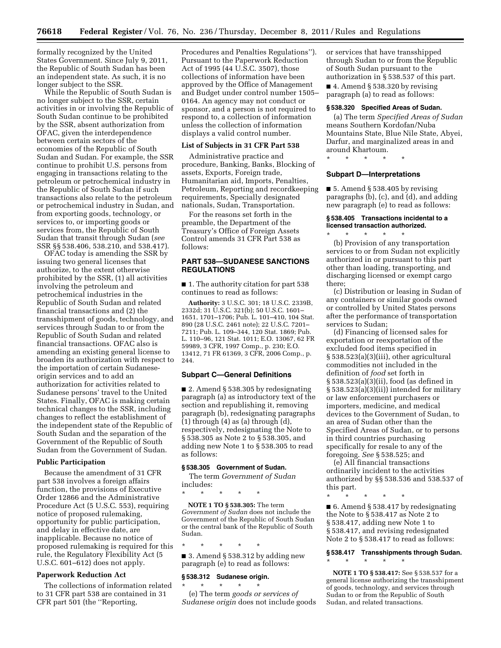formally recognized by the United States Government. Since July 9, 2011, the Republic of South Sudan has been an independent state. As such, it is no longer subject to the SSR.

While the Republic of South Sudan is no longer subject to the SSR, certain activities in or involving the Republic of South Sudan continue to be prohibited by the SSR, absent authorization from OFAC, given the interdependence between certain sectors of the economies of the Republic of South Sudan and Sudan. For example, the SSR continue to prohibit U.S. persons from engaging in transactions relating to the petroleum or petrochemical industry in the Republic of South Sudan if such transactions also relate to the petroleum or petrochemical industry in Sudan, and from exporting goods, technology, or services to, or importing goods or services from, the Republic of South Sudan that transit through Sudan (*see*  SSR §§ 538.406, 538.210, and 538.417).

OFAC today is amending the SSR by issuing two general licenses that authorize, to the extent otherwise prohibited by the SSR, (1) all activities involving the petroleum and petrochemical industries in the Republic of South Sudan and related financial transactions and (2) the transshipment of goods, technology, and services through Sudan to or from the Republic of South Sudan and related financial transactions. OFAC also is amending an existing general license to broaden its authorization with respect to the importation of certain Sudaneseorigin services and to add an authorization for activities related to Sudanese persons' travel to the United States. Finally, OFAC is making certain technical changes to the SSR, including changes to reflect the establishment of the independent state of the Republic of South Sudan and the separation of the Government of the Republic of South Sudan from the Government of Sudan.

### **Public Participation**

Because the amendment of 31 CFR part 538 involves a foreign affairs function, the provisions of Executive Order 12866 and the Administrative Procedure Act (5 U.S.C. 553), requiring notice of proposed rulemaking, opportunity for public participation, and delay in effective date, are inapplicable. Because no notice of proposed rulemaking is required for this rule, the Regulatory Flexibility Act (5 U.S.C. 601–612) does not apply.

## **Paperwork Reduction Act**

The collections of information related to 31 CFR part 538 are contained in 31 CFR part 501 (the ''Reporting,

Procedures and Penalties Regulations''). Pursuant to the Paperwork Reduction Act of 1995 (44 U.S.C. 3507), those collections of information have been approved by the Office of Management and Budget under control number 1505– 0164. An agency may not conduct or sponsor, and a person is not required to respond to, a collection of information unless the collection of information displays a valid control number.

#### **List of Subjects in 31 CFR Part 538**

Administrative practice and procedure, Banking, Banks, Blocking of assets, Exports, Foreign trade, Humanitarian aid, Imports, Penalties, Petroleum, Reporting and recordkeeping requirements, Specially designated nationals, Sudan, Transportation.

For the reasons set forth in the preamble, the Department of the Treasury's Office of Foreign Assets Control amends 31 CFR Part 538 as follows:

## **PART 538—SUDANESE SANCTIONS REGULATIONS**

■ 1. The authority citation for part 538 continues to read as follows:

**Authority:** 3 U.S.C. 301; 18 U.S.C. 2339B, 2332d; 31 U.S.C. 321(b); 50 U.S.C. 1601– 1651, 1701–1706; Pub. L. 101–410, 104 Stat. 890 (28 U.S.C. 2461 note); 22 U.S.C. 7201– 7211; Pub. L. 109–344, 120 Stat. 1869; Pub. L. 110–96, 121 Stat. 1011; E.O. 13067, 62 FR 59989, 3 CFR, 1997 Comp., p. 230; E.O. 13412, 71 FR 61369, 3 CFR, 2006 Comp., p. 244.

#### **Subpart C—General Definitions**

■ 2. Amend § 538.305 by redesignating paragraph (a) as introductory text of the section and republishing it, removing paragraph (b), redesignating paragraphs  $(1)$  through  $(4)$  as  $(a)$  through  $(d)$ , respectively, redesignating the Note to § 538.305 as Note 2 to § 538.305, and adding new Note 1 to § 538.305 to read as follows:

## **§ 538.305 Government of Sudan.**

The term *Government of Sudan*  includes:

\* \* \* \* \*

**NOTE 1 TO § 538.305:** The term *Government of Sudan* does not include the Government of the Republic of South Sudan or the central bank of the Republic of South Sudan.

\* \* \* \* \* ■ 3. Amend § 538.312 by adding new paragraph (e) to read as follows:

#### **§ 538.312 Sudanese origin.**

\* \* \* \* \* (e) The term *goods or services of Sudanese origin* does not include goods or services that have transshipped through Sudan to or from the Republic of South Sudan pursuant to the authorization in § 538.537 of this part.

■ 4. Amend § 538.320 by revising paragraph (a) to read as follows:

#### **§ 538.320 Specified Areas of Sudan.**

(a) The term *Specified Areas of Sudan*  means Southern Kordofan/Nuba Mountains State, Blue Nile State, Abyei, Darfur, and marginalized areas in and around Khartoum.

\* \* \* \* \*

#### **Subpart D—Interpretations**

■ 5. Amend § 538.405 by revising paragraphs (b), (c), and (d), and adding new paragraph (e) to read as follows:

### **§ 538.405 Transactions incidental to a licensed transaction authorized.**

\* \* \* \* \* (b) Provision of any transportation services to or from Sudan not explicitly authorized in or pursuant to this part other than loading, transporting, and discharging licensed or exempt cargo there;

(c) Distribution or leasing in Sudan of any containers or similar goods owned or controlled by United States persons after the performance of transportation services to Sudan;

(d) Financing of licensed sales for exportation or reexportation of the excluded food items specified in § 538.523(a)(3)(iii), other agricultural commodities not included in the definition of *food* set forth in § 538.523(a)(3)(ii), food (as defined in § 538.523(a)(3)(ii)) intended for military or law enforcement purchasers or importers, medicine, and medical devices to the Government of Sudan, to an area of Sudan other than the Specified Areas of Sudan, or to persons in third countries purchasing specifically for resale to any of the foregoing. *See* § 538.525; and

(e) All financial transactions ordinarily incident to the activities authorized by §§ 538.536 and 538.537 of this part.

\* \* \* \* \*

\* \* \* \* \*

■ 6. Amend § 538.417 by redesignating the Note to § 538.417 as Note 2 to § 538.417, adding new Note 1 to § 538.417, and revising redesignated Note 2 to § 538.417 to read as follows:

# **§ 538.417 Transshipments through Sudan.**

**NOTE 1 TO § 538.417:** See § 538.537 for a general license authorizing the transshipment of goods, technology, and services through Sudan to or from the Republic of South Sudan, and related transactions.